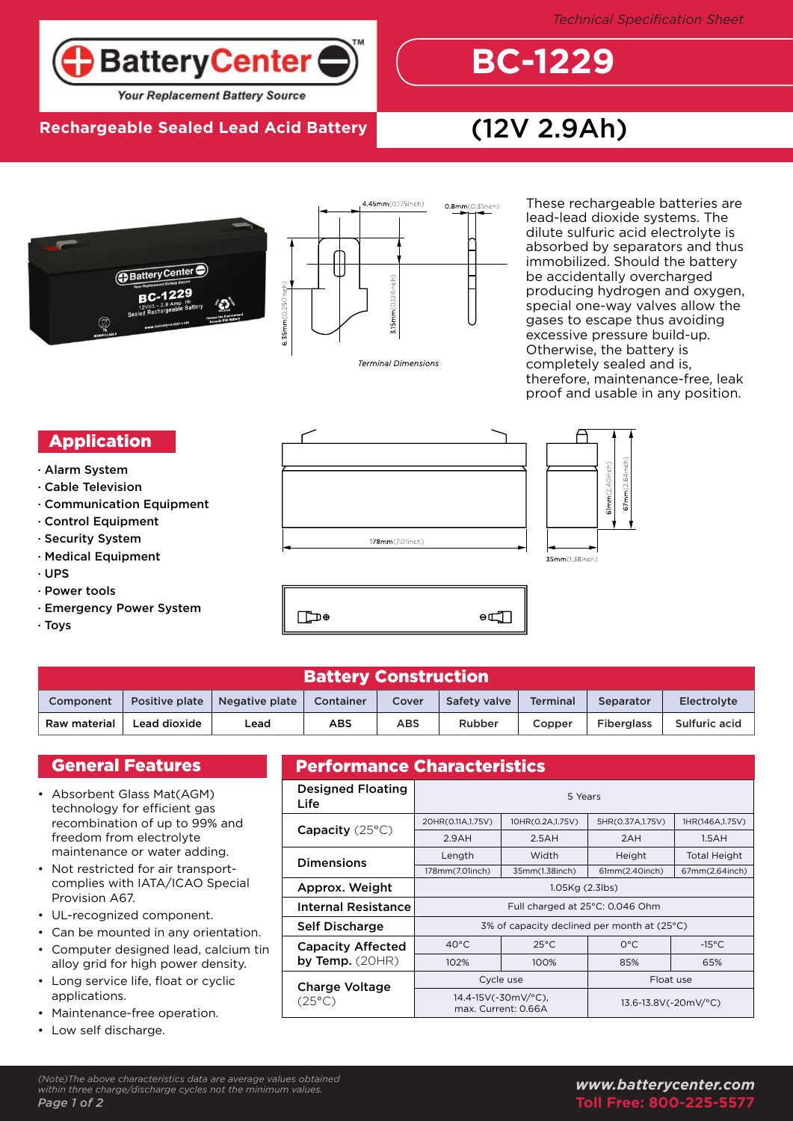

## **Rechargeable Sealed Lead Acid Battery** (12V 2.9Ah)



**BC-1229**





These rechargeable batteries are lead-lead dioxide systems. The dilute sulfuric acid electrolyte is absorbed by separators and thus immobilized. Should the battery be accidentally overcharged producing hydrogen and oxygen, special one-way valves allow the gases to escape thus avoiding excessive pressure build-up. Otherwise, the battery is completely sealed and is, therefore, maintenance-free, leak proof and usable in any position.

#### Application

- · Alarm System
- · Cable Television
- · Communication Equipment
- · Control Equipment
- · Security System
- · Medical Equipment
- · UPS
- · Power tools
- · Emergency Power System
- · Toys





| <b>Battery Construction</b> |                |                |            |       |              |                 |                   |               |  |  |
|-----------------------------|----------------|----------------|------------|-------|--------------|-----------------|-------------------|---------------|--|--|
| Component                   | Positive plate | Negative plate | Container  | Cover | Safety valve | <b>Terminal</b> | Separator         | Electrolyte   |  |  |
| Raw material                | Lead dioxide   | Lead           | <b>ABS</b> | ABS   | Rubber       | Copper          | <b>Fiberglass</b> | Sulfuric acid |  |  |

∩<del></del>

### General Features

- Absorbent Glass Mat(AGM) technology for efficient gas recombination of up to 99% and freedom from electrolyte maintenance or water adding.
- Not restricted for air transportcomplies with IATA/ICAO Special Provision A67. •
- UL-recognized component. •
- Can be mounted in any orientation. •
- Computer designed lead, calcium tin alloy grid for high power density. •
- Long service life, float or cyclic applications. •
- Maintenance-free operation. •
- Low self discharge. •

# Performance Characteristics

| <b>Designed Floating</b><br>Life | 5 Years                                     |                                            |                      |                     |  |  |  |
|----------------------------------|---------------------------------------------|--------------------------------------------|----------------------|---------------------|--|--|--|
|                                  | 20HR(0.11A,1.75V)                           | 10HR(0.2A,1.75V)                           | 5HR(0.37A, 1.75V)    | 1HR(146A,1.75V)     |  |  |  |
| <b>Capacity</b> $(25^{\circ}C)$  | 2.9AH                                       | 2.5AH                                      | 2AH                  | 1.5AH               |  |  |  |
| <b>Dimensions</b>                | Length                                      | Width                                      | Height               | <b>Total Height</b> |  |  |  |
|                                  | 178mm(7.01inch)                             | 35mm(1.38inch)                             | 61mm(2.40inch)       | 67mm(2.64inch)      |  |  |  |
| Approx. Weight                   | 1.05Kg (2.3lbs)                             |                                            |                      |                     |  |  |  |
| <b>Internal Resistance</b>       | Full charged at 25°C: 0.046 Ohm             |                                            |                      |                     |  |  |  |
| Self Discharge                   | 3% of capacity declined per month at (25°C) |                                            |                      |                     |  |  |  |
| <b>Capacity Affected</b>         | $40^{\circ}$ C                              | $25^{\circ}$ C                             | $O^{\circ}C$         | $-15^{\circ}$ C     |  |  |  |
| by Temp. $(20HR)$                | 102%                                        | 100%                                       | 85%                  | 65%                 |  |  |  |
| <b>Charge Voltage</b>            |                                             | Cycle use                                  | Float use            |                     |  |  |  |
| $(25^{\circ}C)$                  |                                             | 14.4-15V(-30mV/°C),<br>max. Current: 0.66A | 13.6-13.8V(-20mV/°C) |                     |  |  |  |

 $\theta$ 

#### *www.batterycenter.com* **Toll Free: 800-225-5577**